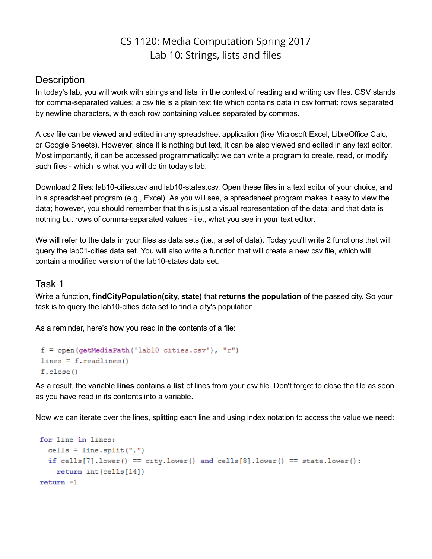# CS 1120: Media Computation Spring 2017 Lab 10: Strings, lists and files

## **Description**

In today's lab, you will work with strings and lists in the context of reading and writing csv files. CSV stands for comma-separated values; a csv file is a plain text file which contains data in csv format: rows separated by newline characters, with each row containing values separated by commas.

A csv file can be viewed and edited in any spreadsheet application (like Microsoft Excel, LibreOffice Calc, or Google Sheets). However, since it is nothing but text, it can be also viewed and edited in any text editor. Most importantly, it can be accessed programmatically: we can write a program to create, read, or modify such files - which is what you will do tin today's lab.

Download 2 files: lab10-cities.csv and lab10-states.csv. Open these files in a text editor of your choice, and in a spreadsheet program (e.g., Excel). As you will see, a spreadsheet program makes it easy to view the data; however, you should remember that this is just a visual representation of the data; and that data is nothing but rows of comma-separated values - i.e., what you see in your text editor.

We will refer to the data in your files as data sets (i.e., a set of data). Today you'll write 2 functions that will query the lab01-cities data set. You will also write a function that will create a new csv file, which will contain a modified version of the lab10-states data set.

#### Task 1

Write a function, findCityPopulation(city, state) that returns the population of the passed city. So your task is to query the lab10-cities data set to find a city's population.

As a reminder, here's how you read in the contents of a file:

```
f = open(qetMediaPath('lab10-cities.csv'), "r")
lines = f.readlines()f.close()
```
As a result, the variable lines contains a list of lines from your csy file. Don't forget to close the file as soon as you have read in its contents into a variable.

Now we can iterate over the lines, splitting each line and using index notation to access the value we need:

```
for line in lines:
  cells = line.split(",")if cells[7]. lower() == city. lower() and cells[8]. lower() == state. lower():
   return int(cells[14])return -1
```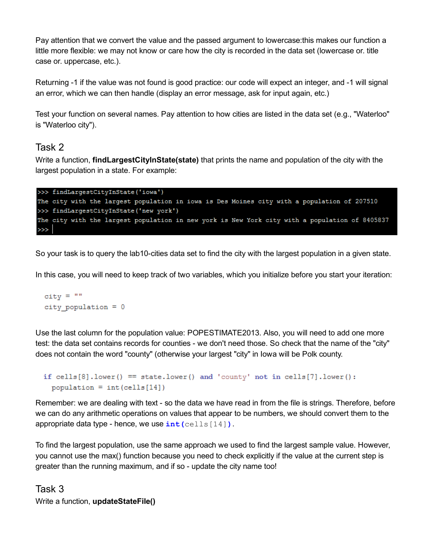Pay attention that we convert the value and the passed argument to lowercase:this makes our function a little more flexible: we may not know or care how the city is recorded in the data set (lowercase or. title case or. uppercase, etc.).

Returning -1 if the value was not found is good practice: our code will expect an integer, and -1 will signal an error, which we can then handle (display an error message, ask for input again, etc.)

Test your function on several names. Pay attention to how cities are listed in the data set (e.g., "Waterloo" is "Waterloo city").

### Task 2

Write a function, **findLargestCityInState(state)** that prints the name and population of the city with the largest population in a state. For example:

```
>>> findLargestCityInState('iowa')
The city with the largest population in iowa is Des Moines city with a population of 207510
>>> findLargestCityInState('new york')
The city with the largest population in new york is New York city with a population of 8405837
\gg
```
So your task is to query the lab10-cities data set to find the city with the largest population in a given state.

In this case, you will need to keep track of two variables, which you initialize before you start your iteration:

 $city = "$ city population  $= 0$ 

Use the last column for the population value: POPESTIMATE2013. Also, you will need to add one more test: the data set contains records for counties - we don't need those. So check that the name of the "city" does not contain the word "county" (otherwise your largest "city" in Iowa will be Polk county.

```
if cells[8]. lower() == state. lower() and 'county' not in cells[7]. lower():
  population = int(cells [14])
```
Remember: we are dealing with text - so the data we have read in from the file is strings. Therefore, before we can do any arithmetic operations on values that appear to be numbers, we should convert them to the appropriate data type - hence, we use  $int(cells[14])$ .

To find the largest population, use the same approach we used to find the largest sample value. However, you cannot use the max() function because you need to check explicitly if the value at the current step is greater than the running maximum, and if so - update the city name too!

# Task 3 Write a function, updateStateFile()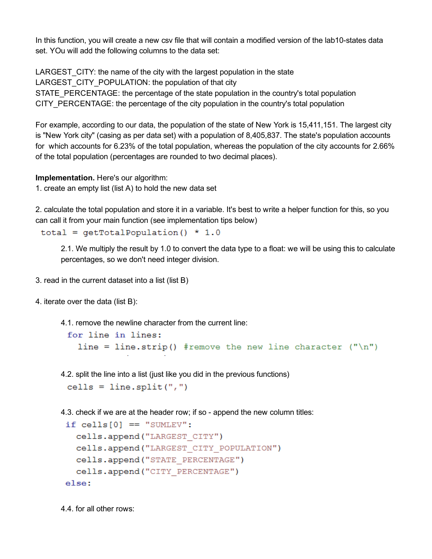In this function, you will create a new csv file that will contain a modified version of the lab10-states data set. YOu will add the following columns to the data set:

LARGEST CITY: the name of the city with the largest population in the state LARGEST\_CITY\_POPULATION: the population of that city STATE PERCENTAGE: the percentage of the state population in the country's total population CITY PERCENTAGE: the percentage of the city population in the country's total population

For example, according to our data, the population of the state of New York is 15,411,151. The largest city is "New York city" (casing as per data set) with a population of 8,405,837. The state's population accounts for which accounts for 6.23% of the total population, whereas the population of the city accounts for 2.66% of the total population (percentages are rounded to two decimal places).

Implementation. Here's our algorithm:

1. create an empty list (list A) to hold the new data set

2. calculate the total population and store it in a variable. It's best to write a helper function for this, so you can call it from your main function (see implementation tips below)

total =  $getTotalPopulation() * 1.0$ 

2.1. We multiply the result by 1.0 to convert the data type to a float: we will be using this to calculate percentages, so we don't need integer division.

- 3. read in the current dataset into a list (list B)
- 4. iterate over the data (list B):
	- 4.1. remove the newline character from the current line:

```
for line in lines:
 line = line.strip() #remove the new line character ("\n")
```
4.2. split the line into a list (just like you did in the previous functions)

```
cells = line.split(",")
```
4.3. check if we are at the header row; if so - append the new column titles:

```
if cells [0] == "SUMLEV":cells.append("LARGEST CITY")
  cells.append("LARGEST CITY POPULATION")
  cells.append("STATE PERCENTAGE")
  cells.append("CITY_PERCENTAGE")
else:
```
4.4. for all other rows: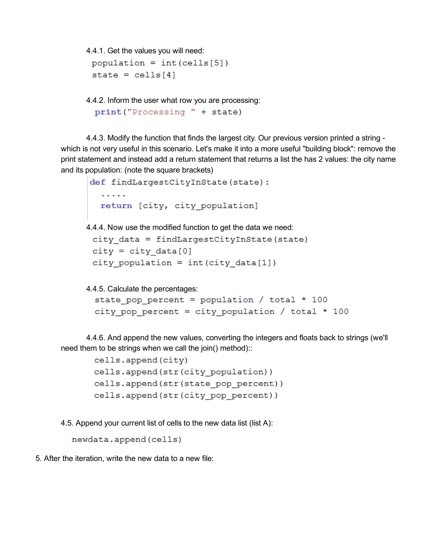4.4.1. Get the values you will need:

```
population = int(cells [5])state = \text{cells}[4]
```
4.4.2. Inform the user what row you are processing:

```
print ("Processing " + state)
```
4.4.3. Modify the function that finds the largest city. Our previous version printed a string which is not very useful in this scenario. Let's make it into a more useful "building block": remove the print statement and instead add a return statement that returns a list the has 2 values: the city name and its population: (note the square brackets)

```
def findLargestCityInState(state):
  2.2.2.2.2return [city, city population]
```
4.4.4. Now use the modified function to get the data we need:

```
city data = findLargestCityInState(state)
city = city data[0]city_population = int(city_data[1])
```
4.4.5. Calculate the percentages:

```
state pop percent = population / total * 100
city pop percent = city population / total * 100
```
4.4.6. And append the new values, converting the integers and floats back to strings (we'll need them to be strings when we call the join() method)::

```
cells.append(city)
cells.append(str(city population))
cells.append(str(state pop percent))
cells.append(str(city pop percent))
```
4.5. Append your current list of cells to the new data list (list A):

```
newdata.append(cells)
```
5. After the iteration, write the new data to a new file: